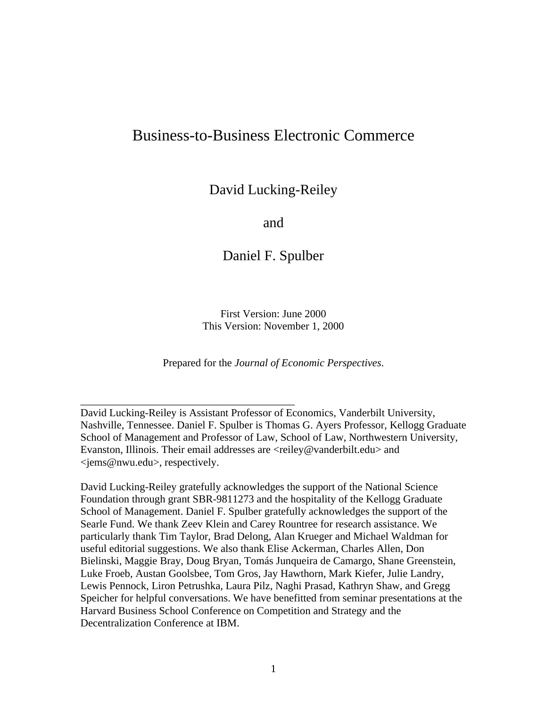# Business-to-Business Electronic Commerce

David Lucking-Reiley

and

Daniel F. Spulber

First Version: June 2000 This Version: November 1, 2000

Prepared for the *Journal of Economic Perspectives*.

\_\_\_\_\_\_\_\_\_\_\_\_\_\_\_\_\_\_\_\_\_\_\_\_\_\_\_\_\_\_\_\_\_\_\_\_\_\_\_\_

David Lucking-Reiley is Assistant Professor of Economics, Vanderbilt University, Nashville, Tennessee. Daniel F. Spulber is Thomas G. Ayers Professor, Kellogg Graduate School of Management and Professor of Law, School of Law, Northwestern University, Evanston, Illinois. Their email addresses are <reiley@vanderbilt.edu> and <jems@nwu.edu>, respectively.

David Lucking-Reiley gratefully acknowledges the support of the National Science Foundation through grant SBR-9811273 and the hospitality of the Kellogg Graduate School of Management. Daniel F. Spulber gratefully acknowledges the support of the Searle Fund. We thank Zeev Klein and Carey Rountree for research assistance. We particularly thank Tim Taylor, Brad Delong, Alan Krueger and Michael Waldman for useful editorial suggestions. We also thank Elise Ackerman, Charles Allen, Don Bielinski, Maggie Bray, Doug Bryan, Tomás Junqueira de Camargo, Shane Greenstein, Luke Froeb, Austan Goolsbee, Tom Gros, Jay Hawthorn, Mark Kiefer, Julie Landry, Lewis Pennock, Liron Petrushka, Laura Pilz, Naghi Prasad, Kathryn Shaw, and Gregg Speicher for helpful conversations. We have benefitted from seminar presentations at the Harvard Business School Conference on Competition and Strategy and the Decentralization Conference at IBM.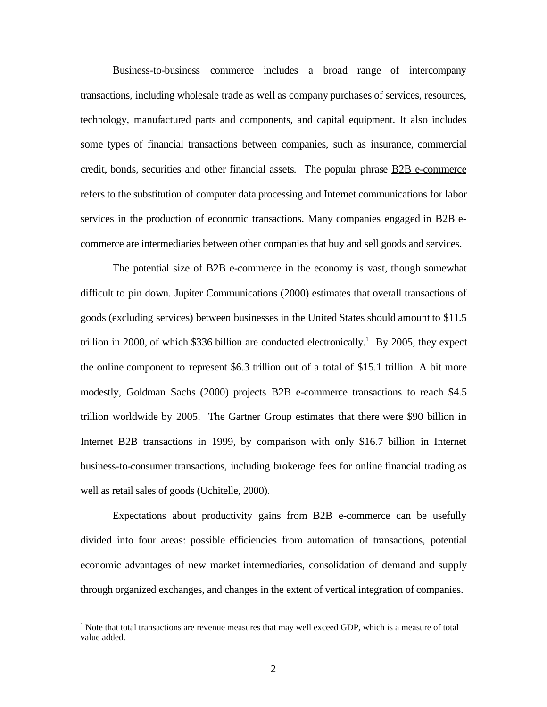Business-to-business commerce includes a broad range of intercompany transactions, including wholesale trade as well as company purchases of services, resources, technology, manufactured parts and components, and capital equipment. It also includes some types of financial transactions between companies, such as insurance, commercial credit, bonds, securities and other financial assets. The popular phrase  $\underline{B2B}$  e-commerce refers to the substitution of computer data processing and Internet communications for labor services in the production of economic transactions. Many companies engaged in B2B ecommerce are intermediaries between other companies that buy and sell goods and services.

The potential size of B2B e-commerce in the economy is vast, though somewhat difficult to pin down. Jupiter Communications (2000) estimates that overall transactions of goods (excluding services) between businesses in the United States should amount to \$11.5 trillion in 2000, of which \$336 billion are conducted electronically.<sup>1</sup> By 2005, they expect the online component to represent  $$6.3$  trillion out of a total of  $$15.1$  trillion. A bit more modestly, Goldman Sachs (2000) projects B2B e-commerce transactions to reach \$4.5 trillion worldwide by 2005. The Gartner Group estimates that there were \$90 billion in Internet B2B transactions in 1999, by comparison with only \$16.7 billion in Internet business-to-consumer transactions, including brokerage fees for online financial trading as well as retail sales of goods (Uchitelle, 2000).

Expectations about productivity gains from B2B e-commerce can be usefully divided into four areas: possible efficiencies from automation of transactions, potential economic advantages of new market intermediaries, consolidation of demand and supply through organized exchanges, and changes in the extent of vertical integration of companies.

 $1$  Note that total transactions are revenue measures that may well exceed GDP, which is a measure of total value added.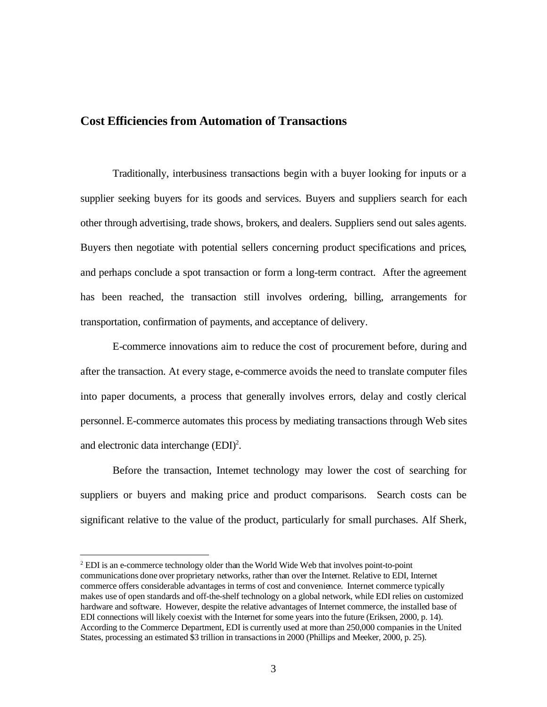## **Cost Efficiencies from Automation of Transactions**

Traditionally, interbusiness transactions begin with a buyer looking for inputs or a supplier seeking buyers for its goods and services. Buyers and suppliers search for each other through advertising, trade shows, brokers, and dealers. Suppliers send out sales agents. Buyers then negotiate with potential sellers concerning product specifications and prices, and perhaps conclude a spot transaction or form a long-term contract. After the agreement has been reached, the transaction still involves ordering, billing, arrangements for transportation, confirmation of payments, and acceptance of delivery.

E-commerce innovations aim to reduce the cost of procurement before, during and after the transaction. At every stage, e-commerce avoids the need to translate computer files into paper documents, a process that generally involves errors, delay and costly clerical personnel. E-commerce automates this process by mediating transactions through Web sites and electronic data interchange  $(EDI)^2$ .

Before the transaction, Internet technology may lower the cost of searching for suppliers or buyers and making price and product comparisons. Search costs can be significant relative to the value of the product, particularly for small purchases. Alf Sherk,

 $^2$  EDI is an e-commerce technology older than the World Wide Web that involves point-to-point communications done over proprietary networks, rather than over the Internet. Relative to EDI, Internet commerce offers considerable advantages in terms of cost and convenience. Internet commerce typically makes use of open standards and off-the-shelf technology on a global network, while EDI relies on customized hardware and software. However, despite the relative advantages of Internet commerce, the installed base of EDI connections will likely coexist with the Internet for some years into the future (Eriksen, 2000, p. 14). According to the Commerce Department, EDI is currently used at more than 250,000 companies in the United States, processing an estimated \$3 trillion in transactions in 2000 (Phillips and Meeker, 2000, p. 25).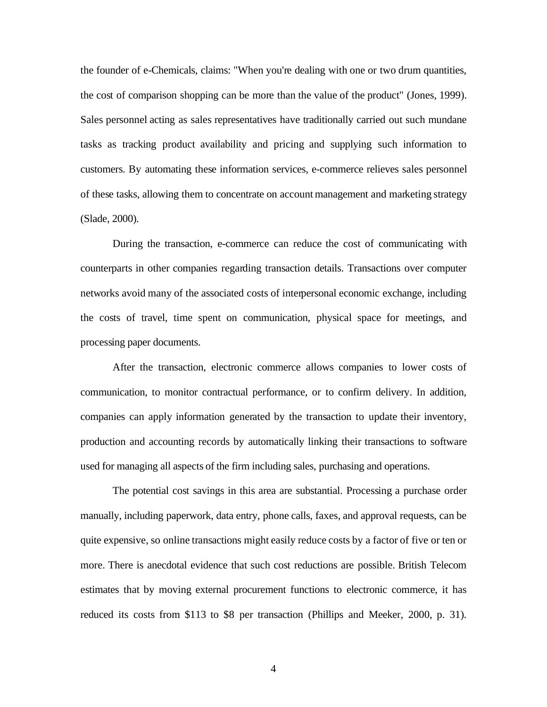the founder of e-Chemicals, claims: "When you're dealing with one or two drum quantities, the cost of comparison shopping can be more than the value of the product" (Jones, 1999). Sales per sonnel acting as sales representatives have traditionally carried out such mundane tasks as tracking product availability and pricing and supplying such information to customers. By automating these information services, e-commerce relieves sales personnel of these tasks, allowing them to concentrate on account management and marketing strategy (Slade, 2000) .

During the transaction, e-commerce can reduce the cost of communicating with counterparts in other companies regarding transaction details. Transactions over computer networks avoid many of the associated costs of interpersonal economic exchange, including the costs of travel, time spent on communication, physical space for meetings, and processing paper documents.

After the transaction, electronic commerce allows companies to lower costs of communication, to monitor contractual performance, or to confirm delivery. In addition, companies can apply information generated by the transaction to update their inventory, production and accounting records by automatically linking their transactions to software used for managing all aspects of the firm including sales, purchasing and operations.

The potential cost savings in this area are substantial. Processing a purchase order manually, including paperwork, data entry, phone calls, faxes, and approval requests, can be quite expensive, so online transactions might easily reduce costs by a factor of five or ten or more. There is anecdotal evidence that such cost reductions are possible. British Telecom estimates that by moving external procurement functions to electronic commerce, it has reduced its costs from  $$113$  to  $$8$  per transaction (Phillips and Meeker, 2000, p. 31).

4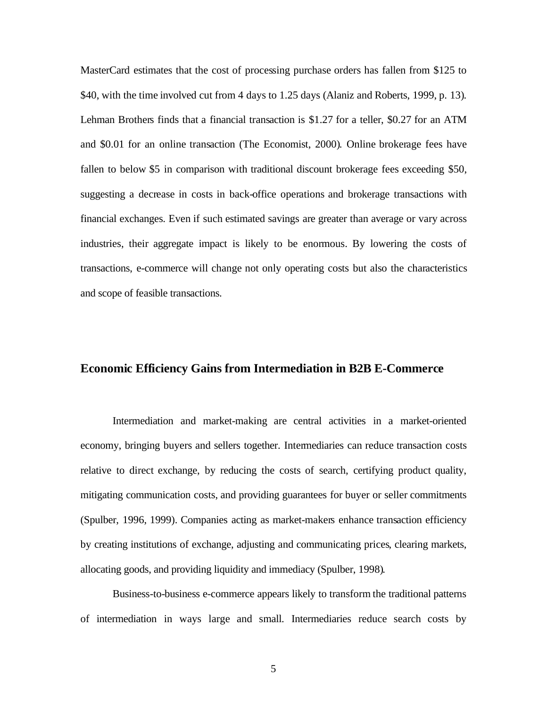MasterCard estimates that the cost of processing purchase orders has fallen from \$125 to \$40, with the time involved cut from 4 days to 1.25 days (Alaniz and Roberts, 1999, p. 13). Lehman Brothers finds that a financial transaction is  $$1.27$  for a teller, \$0.27 for an ATM and \$0.01 for an online transaction (The Economist, 2000). Online brokerage fees have fallen to below \$5 in comparison with traditional discount brokerage fees exceeding \$50, suggesting a decrease in costs in back-office operations and brokerage transactions with financial exchanges. Even if such estimated savings are greater than average or vary across industries, their aggregate impact is likely to be enormous. By lowering the costs of transactions, e-commerce will change not only operating costs but also the characteristics and scope of feasible transactions.

## **Economic Efficiency Gains from Intermediation in B2B E-Commerce**

Intermediation and market-making are central activities in a market-oriented economy, bringing buyers and sellers together. Intermediaries can reduce transaction costs relative to direct exchange, by reducing the costs of search, certifying product quality, mitigating communication costs, and providing guarantees for buyer or seller commitments (Spulber, 1996, 1999). Companies acting as market-makers enhance transaction efficiency by creating institutions of exchange, adjusting and communicating prices, clearing markets, allocating goods, and providing liquidity and immediacy (Spulber, 1998).

Business-to-business e-commerce appears likely to transform the traditional patterns of intermediation in ways large and small. Intermediaries reduce search costs by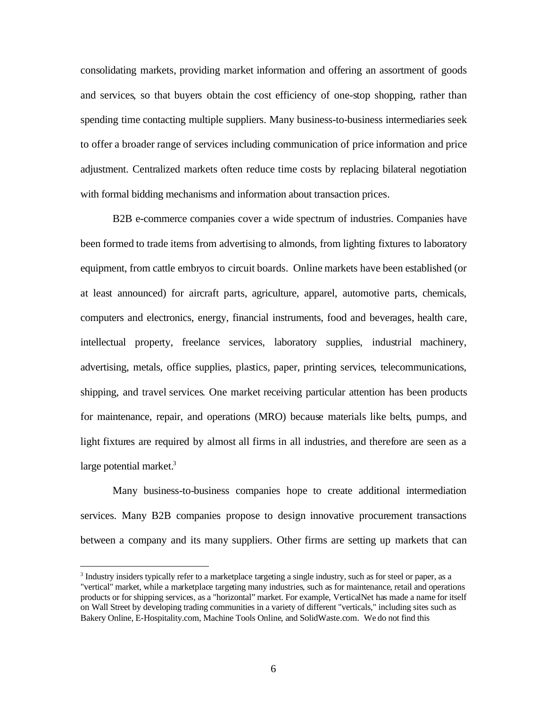consolidating markets, providing market information and offering an assortment of goods and services, so that buyers obtain the cost efficiency of one-stop shopping, rather than spending time contacting multiple suppliers. Many business-to-business intermediaries seek to offer a broader range of services including communication of price information and price adjustment. Centralized markets often reduce time costs by replacing bilateral negotiation with formal bidding mechanisms and information about transaction prices.

B2B e-commerce companies cover a wide spectrum of industries. Companies have been formed to trade items from advertising to almonds, from lighting fixtures to laboratory equipment, from cattle embryos to circuit boards. Online markets have been established (or at least announced) for aircraft parts, agriculture, apparel, automotive parts, chemicals, computers and electronics, energy, financial instruments, food and beverages, health care, intellectual property, freelance services, laboratory supplies, industrial machinery, advertising, metals, office supplies, plastics, paper, printing services, telecommunications, shipping, and travel services. One market receiving particular attention has been products for maintenance, repair, and operations (MRO) because materials like belts, pumps, and light fixtures are required by almost all firms in all industries, and therefore are seen as a large potential market. $3$ 

Many business-to-business companies hope to create additional intermediation services. Many B2B companies propose to design innovative procurement transactions between a company and its many suppliers. Other firms are setting up markets that can

<sup>&</sup>lt;sup>3</sup> Industry insiders typically refer to a marketplace targeting a single industry, such as for steel or paper, as a "vertical" market, while a marketplace targeting many industries, such as for maintenance, retail and operations products or for shipping services, as a "horizontal" market. For example, VerticalNet has made a name for itself on Wall Street by developing trading communities in a variety of different "verticals," including sites such as Bakery Online, E-Hospitality.com, Machine Tools Online, and SolidWaste.com. We do not find this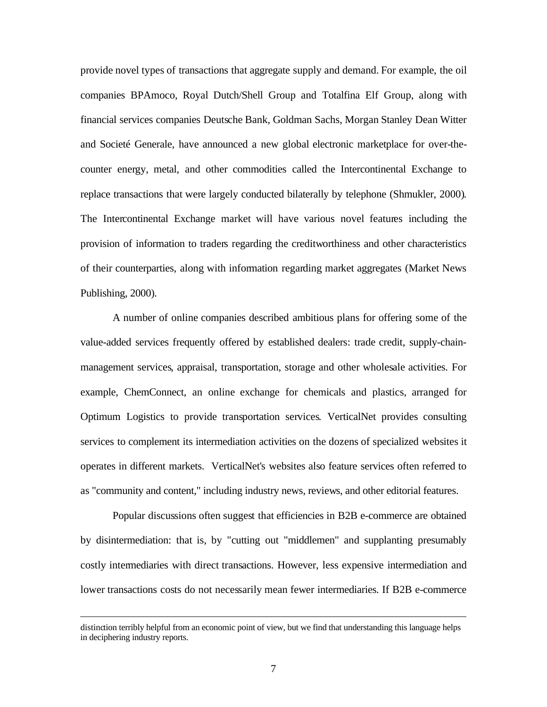provide novel types of transactions that aggregate supply and demand. For example, the oil companies BPAmoco, Royal Dutch/Shell Group and Totalfina Elf Group, along with financial services companies Deutsche Bank, Goldman Sachs, Morgan Stanley Dean Witter and Societé Generale, have announced a new global electronic marketplace for over-thecounter energy, metal, and other commodities called the Intercontinental Exchange to replace transactions that were largely conducted bilaterally by telephone (Shmukler, 2000). The Intercontinental Exchange market will have various novel features including the provision of information to traders regarding the creditworthiness and other characteristics of their counterparties, along with information regarding market aggregates (Market News) Publishing, 2000).

A number of online companies described ambitious plans for offering some of the value-added services frequently offered by established dealers: trade credit, supply-chainmanagement services, appraisal, transportation, storage and other wholesale activities. For example, ChemConnect, an online exchange for chemicals and plastics, arranged for Optimum Logistics to provide transportation services. VerticalNet provides consulting services to complement its intermediation activities on the dozens of specialized websites it operates in different markets. VerticalNet's websites also feature services often referred to as "community and content," including industry news, reviews, and other editorial features.

Popular discussions often suggest that efficiencies in B2B e-commerce are obtained by disintermediation: that is, by "cutting out "middlemen" and supplanting presumably costly intermediaries with direct transactions. However, less expensive intermediation and lower transactions costs do not necessarily mean fewer intermediaries. If B2B e-commerce

distinction terribly helpful from an economic point of view, but we find that understanding this language helps in deciphering industry reports.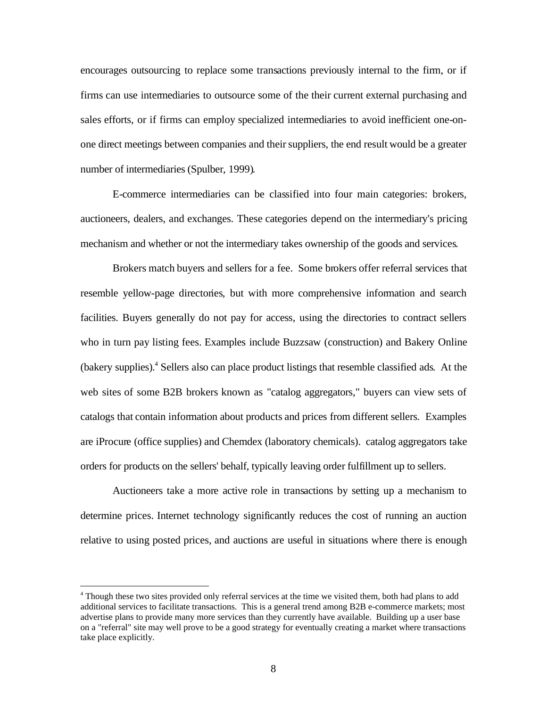encourages outsourcing to replace some transactions previously internal to the firm, or if firms can use intermediaries to outsource some of the their current external purchasing and sales efforts, or if firms can employ specialized intermediaries to avoid inefficient one-onone direct meetings between companies and their suppliers, the end result would be a greater number of intermediaries (Spulber, 1999).

E-commerce intermediaries can be classified into four main categories: brokers, auctioneers, dealers, and exchanges. These categories depend on the intermediary's pricing mechanism and whether or not the intermediary takes ownership of the goods and services.

Brokers match buyers and sellers for a fee. Some brokers offer referral services that resemble yellow-page directories, but with more comprehensive information and search facilities. Buyers generally do not pay for access, using the directories to contract sellers who in turn pay listing fees. Examples include Buzzsaw (construction) and Bakery Online (bakery supplies).<sup>4</sup> Sellers also can place product listings that resemble classified ads. At the web sites of some B2B brokers known as "catalog aggregators," buyers can view sets of catalogs that contain information about products and prices from different sellers. Examples are iProcure (office supplies) and Chemdex (laboratory chemicals). catalog aggregators take orders for products on the sellers' behalf, typically leaving order fulfillment up to sellers.

Auctioneers take a more active role in transactions by setting up a mechanism to determine prices. Internet technology significantly reduces the cost of running an auction relative to using posted prices, and auctions are useful in situations where there is enough

<sup>&</sup>lt;sup>4</sup> Though these two sites provided only referral services at the time we visited them, both had plans to add additional services to facilitate transactions. This is a general trend among B2B e-commerce markets; most advertise plans to provide many more services than they currently have available. Building up a user base on a "referral" site may well prove to be a good strategy for eventually creating a market where transactions take place explicitly.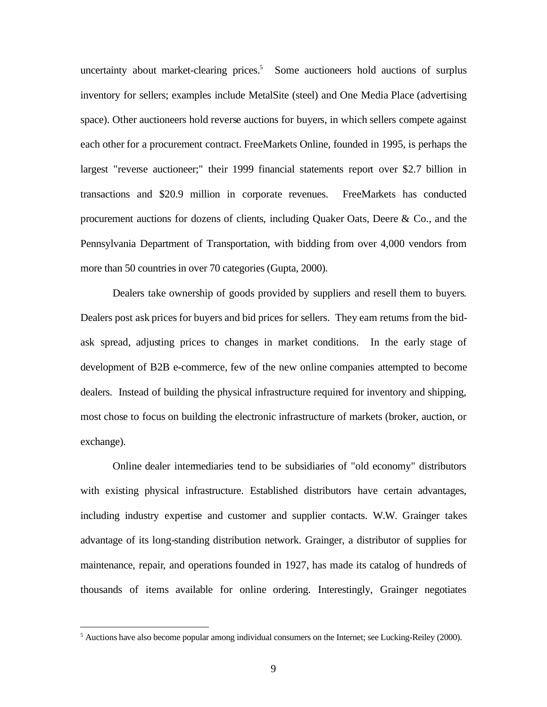uncertainty about market-clearing prices.<sup>5</sup> Some auctioneers hold auctions of surplus inventory for sellers; examples include MetalSite (steel) and One Media Place (advertising space). Other auctioneers hold reverse auctions for buyers, in which sellers compete against each other for a procurement contract. FreeMarkets Online, founded in 1995, is perhaps the largest "reverse auctioneer;" their 1999 financial statements report over \$2.7 billion in transactions and \$20.9 million in corporate revenues. FreeMarkets has conducted procurement auctions for dozens of clients, including Quaker Oats, Deere  $\&$  Co., and the Pennsylvania Department of Transportation, with bidding from over 4,000 vendors from more than 50 countries in over 70 categories (Gupta, 2000).

Dealers take ownership of goods provided by suppliers and resell them to buyers. Dealers post ask prices for buyers and bid prices for sellers. They earn returns from the bidask spread, adjusting prices to changes in market conditions. In the early stage of development of B2B e-commerce, few of the new online companies attempted to become dealers. Instead of building the physical infrastructure required for inventory and shipping, most chose to focus on building the electronic infrastructure of markets (broker, auction, or exchange).

Online dealer intermediaries tend to be subsidiaries of "old economy" distributors with existing physical infrastructure. Established distributors have certain advantages, including industry expertise and customer and supplier contacts. W.W. Grainger takes advantage of its long-standing distribution network. Grainger, a distributor of supplies for maintenance, repair, and operations founded in 1927, has made its catalog of hundreds of thousands of items available for online ordering. Interestingly, Grainger negotiates

<sup>&</sup>lt;sup>5</sup> Auctions have also become popular among individual consumers on the Internet; see Lucking-Reiley (2000).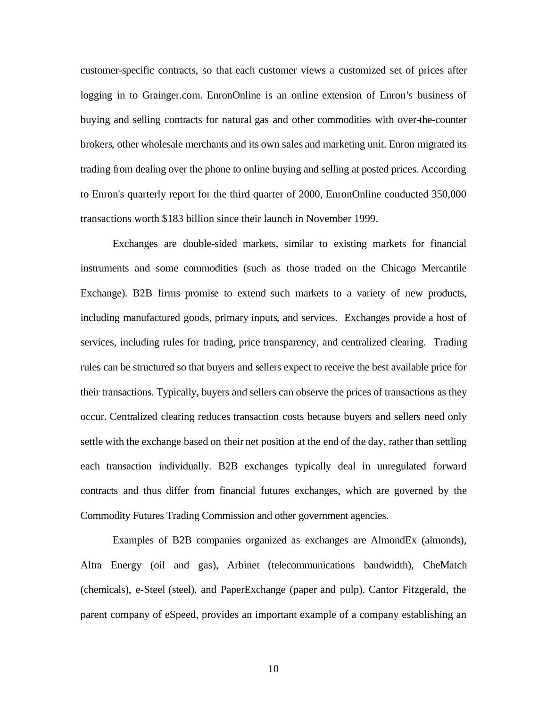customer-specific contracts, so that each customer views a customized set of prices after logging in to Grainger.com. EnronOnline is an online extension of Enron's business of buying and selling contracts for natural gas and other commodities with over-the-counter brokers, other wholesale merchants and its own sales and marketing unit. Enron migrated its trading from dealing over the phone to online buying and selling at posted prices. According to Enron's quarterly report for the third quarter of 2000, EnronOnline conducted 350,000 transactions worth \$183 billion since their launch in November 1999.

Exchanges are double-sided markets, similar to existing markets for financial instruments and some commodities (such as those traded on the Chicago Mercantile Exchange). B2B firms promise to extend such markets to a variety of new products, including manufactured goods, primary inputs, and services. Exchanges provide a host of services, including rules for trading, price transparency, and centralized clearing. Trading rules can be structured so that buyers and sellers expect to receive the best available price for their transactions. Typically, buyers and sellers can observe the prices of transactions as they occur. Centralized clearing reduces transaction costs because buyers and sellers need only settle with the exchange based on their net position at the end of the day, rather than settling each transaction individually. B2B exchanges typically deal in unregulated forward contracts and thus differ from financial futures exchanges, which are governed by the Commodity Futures Trading Commission and other government agencies.

Examples of B2B companies organized as exchanges are AlmondEx (almonds), Altra Energy (oil and gas), Arbinet (telecommunications bandwidth), CheMatch (chemicals), e-Steel ( steel), and PaperExchange (paper and pulp). Cantor Fitzgerald, the parent company of eSpeed, provides an important example of a company establishing an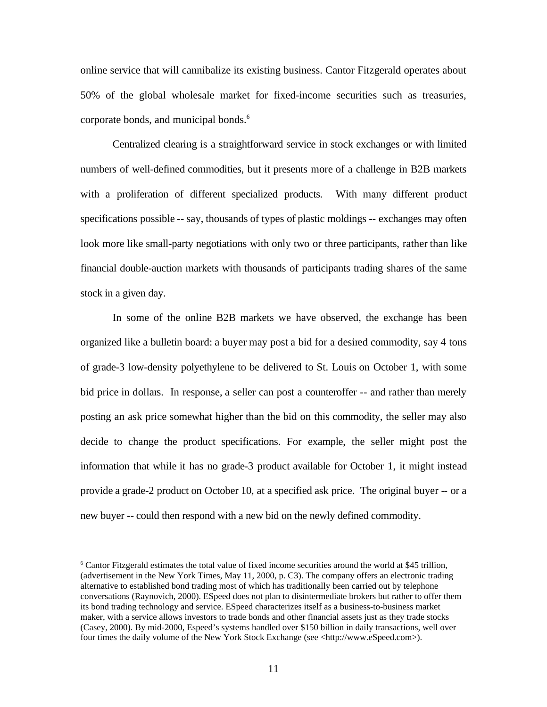online service that will cannibalize its existing business. Cantor Fitzgerald operates about 50% of the global wholesale market for fixed-income securities such as treasuries, corporate bonds, and municipal bonds.<sup>6</sup>

Centralized clearing is a straightforward service in stock exchanges or with limited numbers of well-defined commodities, but it presents more of a challenge in B2B markets with a proliferation of different specialized products. With many different product specifications possible -- say, thousands of types of plastic moldings -- exchanges may often look more like small-party negotiations with only two or three participants, rather than like financial double-auction markets with thousands of participants trading shares of the same stock in a given day.

In some of the online B2B markets we have observed, the exchange has been organized like a bulletin board: a buyer may post a bid for a desired commodity, say 4 tons of grade-3 low-density polyethylene to be delivered to St. Louis on October 1, with some bid price in dollars. In response, a seller can post a counteroffer -- and rather than merely posting an ask price somewhat higher than the bid on this commodity, the seller may also decide to change the product specifications. For example, the seller might post the information that while it has no grade-3 product available for October 1, it might instead provide a grade-2 product on October 10, at a specified ask price. The original buyer – or a new buyer -- could then respond with a new bid on the newly defined commodity.

<sup>&</sup>lt;sup>6</sup> Cantor Fitzgerald estimates the total value of fixed income securities around the world at \$45 trillion, (advertisement in the New York Times, May 11, 2000, p. C3). The company offers an electronic trading alternative to established bond trading most of which has traditionally been carried out by telephone conversations (Raynovich, 2000). ESpeed does not plan to disintermediate brokers but rather to offer them its bond trading technology and service. ESpeed characterizes itself as a business-to-business market maker, with a service allows investors to trade bonds and other financial assets just as they trade stocks (Casey, 2000). By mid-2000, Espeed's systems handled over \$150 billion in daily transactions, well over four times the daily volume of the New York Stock Exchange (see <http://www.eSpeed.com>).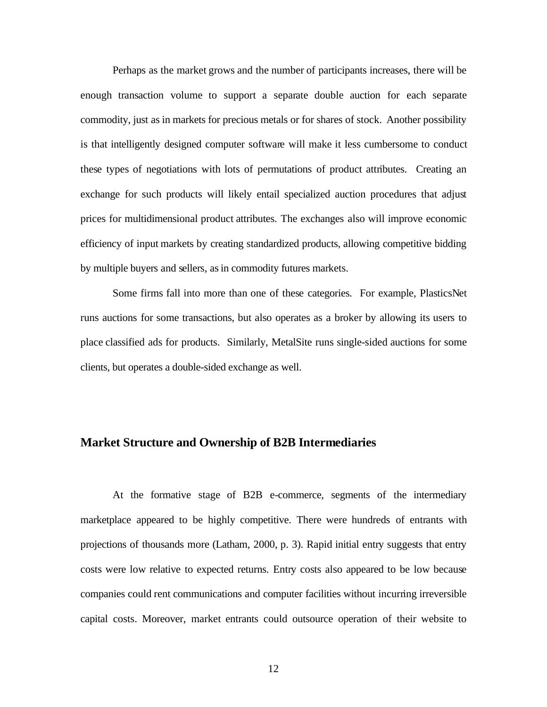Perhaps as the market grows and the number of participants increases, there will be enough transaction volume to support a separate double auction for each separate commodity, just as in markets for precious metals or for shares of stock. Another possibility is that intelligently designed computer software will make it less cumbersome to conduct these types of negotiations with lots of permutations of product attributes. Creating an exchange for such products will likely entail specialized auction procedures that adjust prices for multidimensional product attributes. The exchanges also will improve economic efficiency of input markets by creating standardized products, allowing competitive bidding by multiple buyers and sellers, as in commodity futures markets.

Some firms fall into more than one of these categories. For example, PlasticsNet runs auctions for some transactions, but also operates as a broker by allowing its users to place classified ads for products. Similarly, MetalSite runs single-sided auctions for some clients, but operates a double-sided exchange as well.

#### **Market Structure and Ownership of B2B Intermediaries**

At the formative stage of B2B e-commerce, segments of the intermediary marketplace appeared to be highly competitive. There were hundreds of entrants with projections of thousands more (Latham, 2000, p. 3). Rapid initial entry suggests that entry costs were low relative to expected returns. Entry costs also appeared to be low because companies could rent communications and computer facilities without incurring irreversible capital costs. Moreover, market entrants could outsource operation of their website to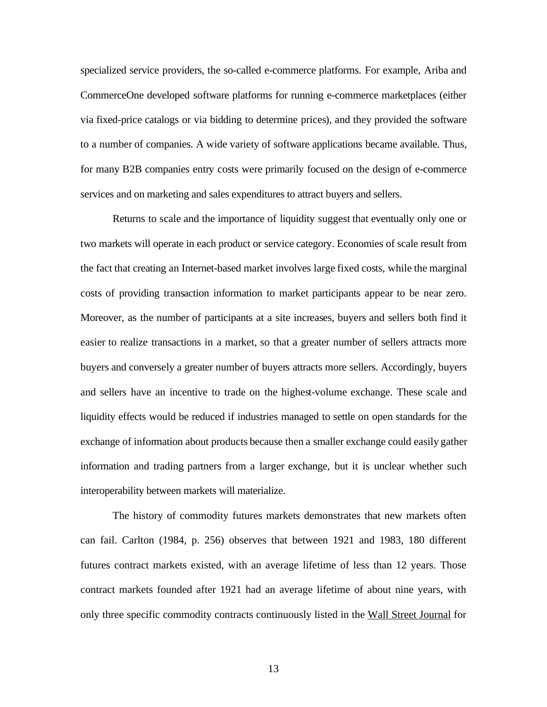specialized service providers, the so-called e-commerce platforms. For example, Ariba and CommerceOne developed software platforms for running e-commerce marketplaces (either via fixed-price catalogs or via bidding to determine prices), and they provided the software to a number of companies. A wide variety of software applications became available. Thus, for many B2B companies entry costs were primarily focused on the design of e-commerce services and on marketing and sales expenditures to attract buyers and sellers.

Returns to scale and the importance of liquidity suggest that eventually only one or two markets will operate in each product or service category. Economies of scale result from the fact that creating an Internet-based market involves large fixed costs, while the marginal costs of providing transaction information to market participants appear to be near zero. Moreover, as the number of participants at a site increases, buyers and sellers both find it easier to realize transactions in a market, so that a greater number of sellers attracts more buyers and conversely a greater number of buyers attracts more sellers. Accordingly, buyers and sellers have an incentive to trade on the highest-volume exchange. These scale and liquidity effects would be reduced if industries managed to settle on open standards for the exchange of information about products because then a smaller exchange could easily gather information and trading partners from a larger exchange, but it is unclear whether such interoperability between markets will materialize.

The history of commodity futures markets demonstrates that new markets often can fail. Carlton (1984, p. 256) observes that between 1921 and 1983, 180 different futures contract markets existed, with an average lifetime of less than 12 years. Those contract markets founded after 1921 had an average lifetime of about nine years, with only three specific commodity contracts continuously listed in the Wall Street Journal for

13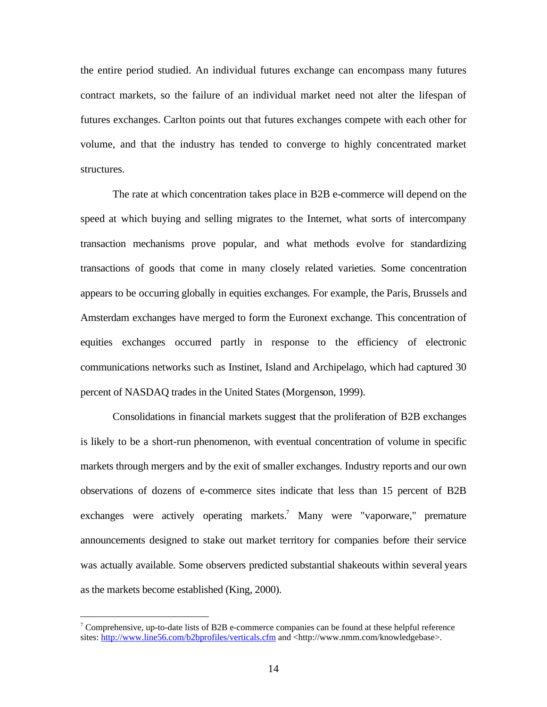the entire period studied. An individual futures exchange can encompass many futures contract markets, so the failure of an individual market need not alter the lifespan of futures exchanges. Carlton points out that futures exchanges compete with each other for volume, and that the industry has tended to converge to highly concentrated market structures.

The rate at which concentration takes place in B2B e-commerce will depend on the speed at which buying and selling migrates to the Internet, what sorts of intercompany transaction mechanisms prove popular, and what methods evolve for standardizing transactions of goods that come in many closely related varieties. Some concentration appears to be occurring globally in equities exchanges. For example, the Paris, Brussels and Amsterdam exchanges have merged to form the Euronext exchange. This concentration of equities exchanges occurred partly in response to the efficiency of electronic communications networks such as Instinet, Island and Archipelago, which had captured 30 percent of NASDAQ trades in the United States (Morgenson, 1999).

Consolidations in financial markets suggest that the proliferation of B2B exchanges is likely to be a short-run phenomenon, with eventual concentration of volume in specific markets through mergers and by the exit of smaller exchanges. Industry reports and our own observations of dozens of e-commerce sites indicate that less than 15 percent of B2B exchanges were actively operating markets.<sup>7</sup> Many were "vaporware," premature announcements designed to stake out market territory for companies before their service was actually available. Some observers predicted substantial shakeouts within several years as the markets become established (King, 2000).

<sup>&</sup>lt;sup>7</sup> Comprehensive, up-to-date lists of B2B e-commerce companies can be found at these helpful reference sites: http://www.line56.com/b2bprofiles/verticals.cfm and <http://www.nmm.com/knowledgebase>.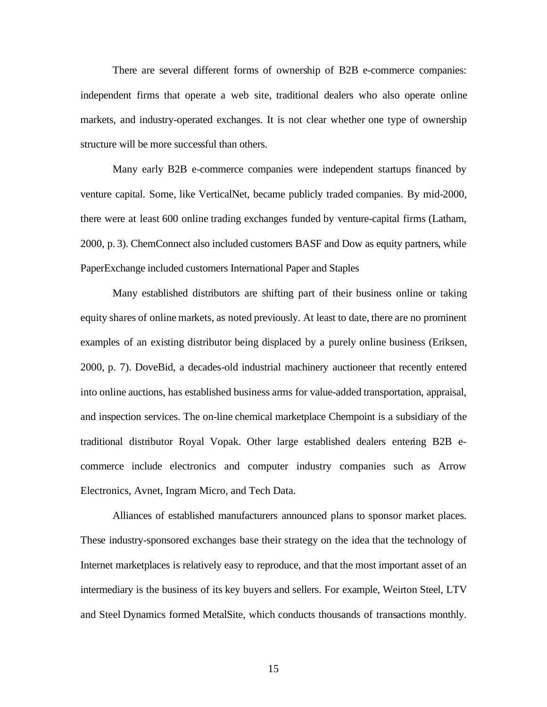There are several different forms of ownership of B2B e-commerce companies: independent firms that operate a web site, traditional dealers who also operate online markets, and industry-operated exchanges. It is not clear whether one type of ownership structure will be more successful than others.

Many early B2B e-commerce companies were independent startups financed by venture capital. Some, like VerticalNet, became publicly traded companies. By mid-2000, there were at least 600 online trading exchanges funded by venture-capital firms (Latham, 2000, p. 3). ChemConnect also included customers BASF and Dow as equity partners, while PaperExchange included customers International Paper and Staples

Many established distributors are shifting part of their business online or taking equity shares of online markets, as noted previously. At least to date, there are no prominent examples of an existing distributor being displaced by a purely online business (Eriksen, 2000, p. 7). DoveBid, a decades-old industrial machinery auctioneer that recently entered into online auctions, has established business arms for value-added transportation, appraisal, and inspection services. The on-line chemical marketplace Chempoint is a subsidiary of the traditional distributor Royal Vopak. Other large established dealers entering B2B ecommerce include electronics and computer industry companies such as Arrow Electronics, Avnet, Ingram Micro, and Tech Data.

Alliances of established manufacturers announced plans to sponsor market places. These industry-sponsored exchanges base their strategy on the idea that the technology of Internet marketplaces is relatively easy to reproduce, and that the most important asset of an intermediary is the business of its key buyers and sellers. For example, Weirton Steel, LTV and Steel Dynamics formed MetalSite, which conducts thousands of transactions monthly.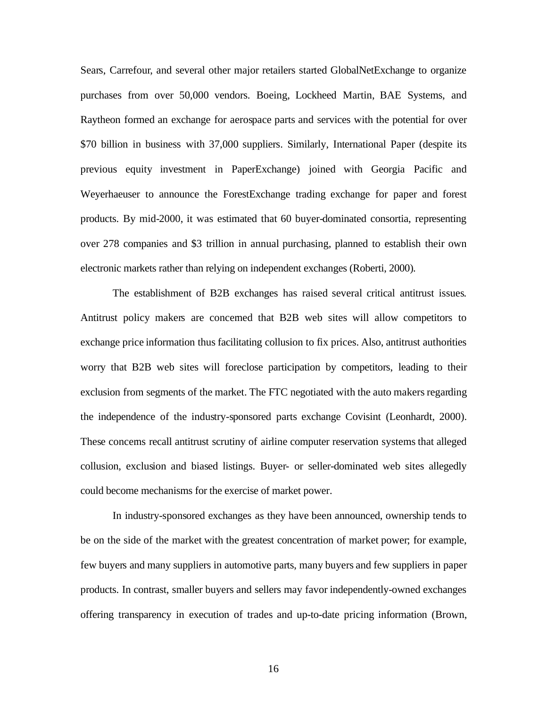Sears, Carrefour, and several other major retailers started GlobalNetExchange to organize purchases from over 50,000 vendors. Boeing, Lockheed Martin, BAE Systems, and Raytheon formed an exchange for aerospace parts and services with the potential for over \$70 billion in business with 37,000 suppliers. Similarly, International Paper (despite its previous equity investment in PaperExchange) joined with Georgia Pacific and Weyerhaeuser to announce the ForestExchange trading exchange for paper and forest products. By mid-2000, it was estimated that 60 buyer-dominated consortia, representing over 278 companies and \$3 trillion in annual purchasing, planned to establish their own electronic markets rather than relying on independent exchanges (Roberti, 2000).

The establishment of B2B exchanges has raised several critical antitrust issues. Antitrust policy makers are concerned that B2B web sites will allow competitors to exchange price information thus facilitating collusion to fix prices. Also, antitrust authorities worry that B2B web sites will foreclose participation by competitors, leading to their exclusion from segments of the market. The FTC negotiated with the auto makers regarding the independence of the industry-sponsored parts exchange Covisint (Leonhardt, 2000). These concerns recall antitrust scrutiny of airline computer reservation systems that alleged collusion, exclusion and biased listings. Buyer- or seller-dominated web sites allegedly could become mechanisms for the exercise of market power.

In industry-sponsored exchanges as they have been announced, ownership tends to be on the side of the market with the greatest concentration of market power; for example, few buyers and many suppliers in automotive parts, many buyers and few suppliers in paper products. In contrast, smaller buyers and sellers may favor independently-owned exchanges offering transparency in execution of trades and up-to-date pricing information (Brown,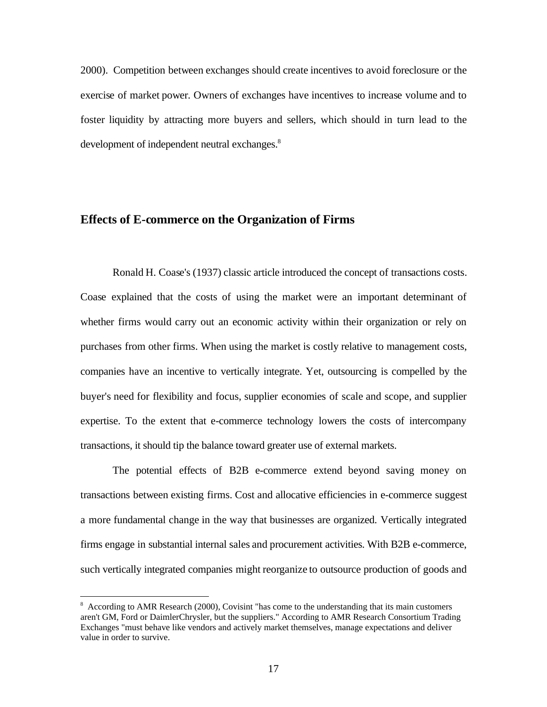2000). Competition between exchanges should create incentives to avoid foreclosure or the exercise of market power. Owners of exchanges have incentives to increase volume and to foster liquidity by attracting more buyers and sellers, which should in turn lead to the development of independent neutral exchanges.<sup>8</sup>

## **Effects of E-commerce on the Organization of Firms**

Ronald H. Coase's (1937) classic article introduced the concept of transactions costs. Coase explained that the costs of using the market were an important determinant of whether firms would carry out an economic activity within their organization or rely on purchases from other firms. When using the market is costly relative to management costs, companies have an incentive to vertically integrate. Yet, outsourcing is compelled by the buyer's need for flexibility and focus, supplier economies of scale and scope, and supplier expertise. To the extent that e-commerce technology lowers the costs of intercompany transactions, it should tip the balance toward greater use of external markets.

The potential effects of B2B e-commerce extend beyond saving money on transactions between existing firms. Cost and allocative efficiencies in e-commerce suggest a more fundamental change in the way that businesses are organized. Vertically integrated firms engage in substantial internal sales and procurement activities. With B2B e-commerce, such vertically integrated companies might reorganize to outsource production of goods and

 $\delta$  According to AMR Research (2000), Covisint "has come to the understanding that its main customers aren't GM, Ford or DaimlerChrysler, but the suppliers." According to AMR Research Consortium Trading Exchanges "must behave like vendors and actively market themselves, manage expectations and deliver value in order to survive.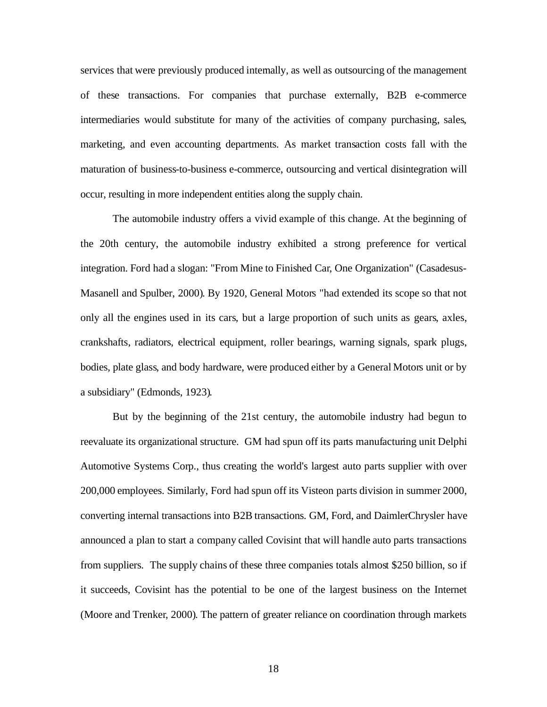services that were previously produced internally, as well as outsourcing of the management of these transactions. For companies that purchase externally, B2B e-commerce intermediaries would substitute for many of the activities of company purchasing, sales, marketing, and even accounting departments. As market transaction costs fall with the maturation of business-to-business e-commerce, outsourcing and vertical disintegration will occur, resulting in more independent entities along the supply chain.

The automobile industry offers a vivid example of this change. At the beginning of the 20th century, the automobile industry exhibited a strong preference for vertical integration. Ford had a slogan: "From Mine to Finished Car, One Organization" (Casadesus-Masanell and Spulber, 2000). By 1920, General Motors "had extended its scope so that not only all the engines used in its cars, but a large proportion of such units as gears, axles, crankshafts, radiators, electrical equipment, roller bearings, warning signals, spark plugs, bodies, plate glass, and body hardware, were produced either by a General Motors unit or by a subsidiary" (Edmonds, 1923).

But by the beginning of the 21st century, the automobile industry had begun to reevaluate its organizational structure. GM had spun off its parts manufacturing unit Delphi Automotive Systems Corp., thus creating the world's largest auto parts supplier with over 200,000 employees. Similarly, Ford had spun off its Visteon parts division in summer 2000, converting internal transactions into B2B transactions. GM, Ford, and DaimlerChrysler have announced a plan to start a company called Covisint that will handle auto parts transactions from suppliers. The supply chains of these three companies totals almost \$250 billion, so if it succeeds. Covisint has the potential to be one of the largest business on the Internet (Moore and Trenker, 2000). The pattern of greater reliance on coordination through markets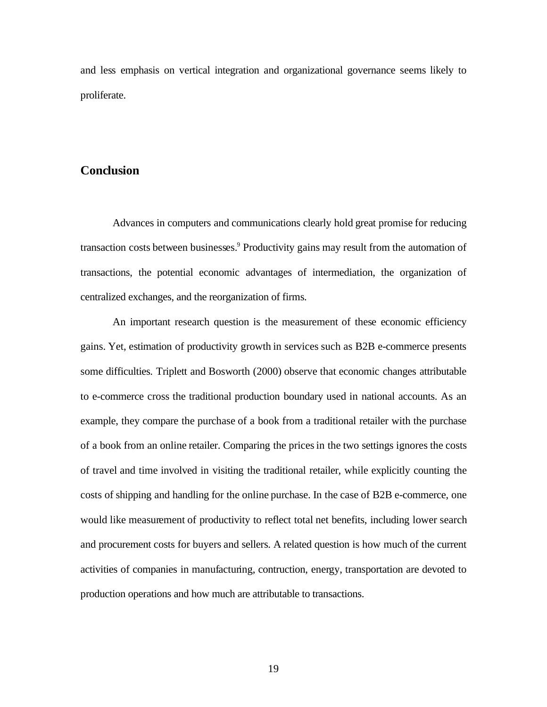and less emphasis on vertical integration and organizational governance seems likely to proliferate.

## **Conclusion**

Advances in computers and communications clearly hold great promise for reducing transaction costs between businesses.<sup>9</sup> Productivity gains may result from the automation of transactions, the potential economic advantages of intermediation, the organization of centralized exchanges, and the reorganization of firms.

An important research question is the measurement of these economic efficiency gains. Yet, estimation of productivity growth in services such as B2B e-commerce presents some difficulties. Triplett and Bosworth (2000) observe that economic changes attributable to e-commerce cross the traditional production boundary used in national accounts. As an example, they compare the purchase of a book from a traditional retailer with the purchase of a book from an online retailer. Comparing the prices in the two settings ignores the costs of travel and time involved in visiting the traditional retailer, while explicitly counting the costs of shipping and handling for the online purchase. In the case of B2B e-commerce, one would like measurement of productivity to reflect total net benefits, including lower search and procurement costs for buyers and sellers. A related question is how much of the current activities of companies in manufacturing, contruction, energy, transportation are devoted to production operations and how much are attributable to transactions.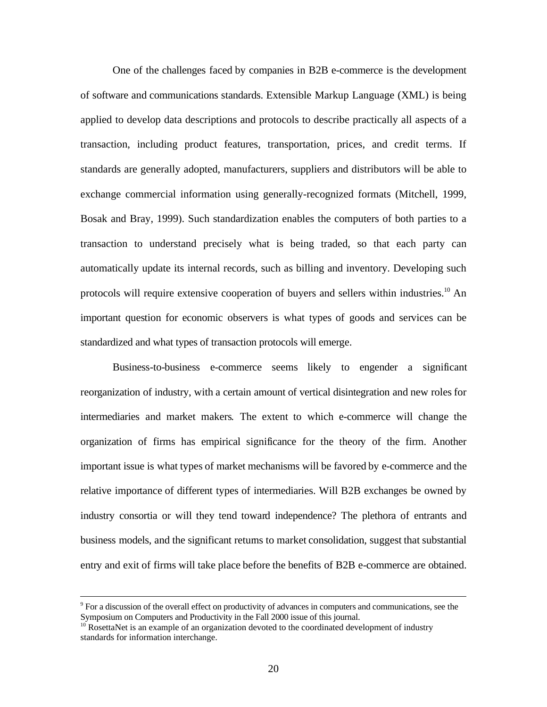One of the challenges faced by companies in B2B e-commerce is the development of software and communications standards. Extensible Markup Language (XML) is being applied to develop data descriptions and protocols to describe practically all aspects of a transaction, including product features, transportation, prices, and credit terms. If standards are generally adopted, manufacturers, suppliers and distributors will be able to exchange commercial information using generally-recognized formats (Mitchell, 1999, Bosak and Bray, 1999). Such standardization enables the computers of both parties to a transaction to understand precisely what is being traded, so that each party can automatically update its internal records, such as billing and inventory. Developing such protocols will require extensive cooperation of buyers and sellers within industries.<sup>10</sup> An important question for economic observers is what types of goods and services can be standardized and what types of transaction protocols will emerge.

Business-to-business e-commerce seems likely to engender a significant reorganization of industry, with a certain amount of vertical disintegration and new roles for intermediaries and market makers. The extent to which e-commerce will change the organization of firms has empirical significance for the theory of the firm. Another important issue is what types of market mechanisms will be favored by e-commerce and the relative importance of different types of intermediaries. Will B2B exchanges be owned by industry consortia or will they tend toward independence? The plethora of entrants and business models, and the significant returns to market consolidation, suggest that substantial entry and exit of firms will take place before the benefits of B2B e-commerce are obtained.

<sup>&</sup>lt;sup>9</sup> For a discussion of the overall effect on productivity of advances in computers and communications, see the Symposium on Computers and Productivity in the Fall 2000 issue of this journal.

 $10$  RosettaNet is an example of an organization devoted to the coordinated development of industry standards for information interchange.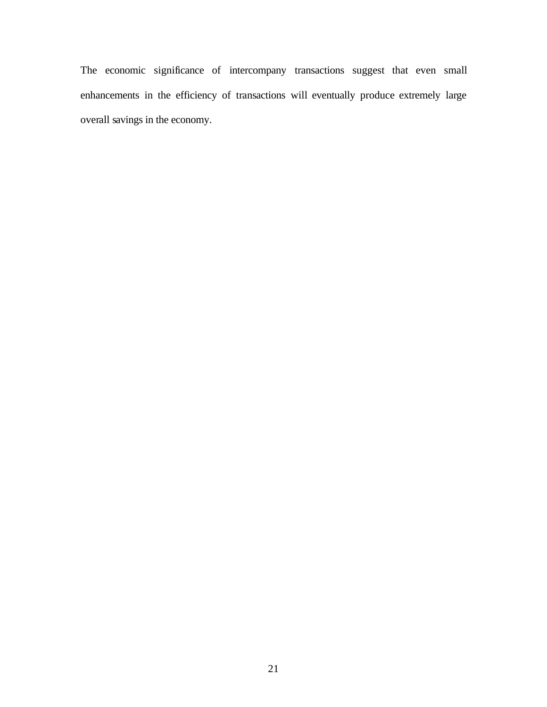The economic significance of intercompany transactions suggest that even small enhancements in the efficiency of transactions will eventually produce extremely large overall savings in the economy.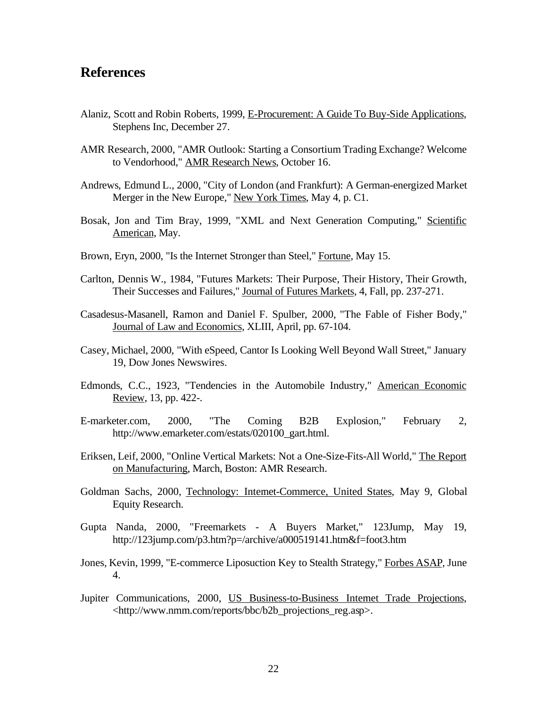## **References**

- Alaniz, Scott and Robin Roberts, 1999, E-Procurement: A Guide To Buy-Side Applications, Stephens Inc, December 27.
- AMR Research, 2000, "AMR Outlook: Starting a Consortium Trading Exchange? Welcome to Vendorhood," AMR Research News, October 16.
- Andrews, Edmund L., 2000, "City of London (and Frankfurt): A German-energized Market Merger in the New Europe," New York Times, May 4, p. C1.
- Bosak, Jon and Tim Bray, 1999, "XML and Next Generation Computing," Scientific American, May.
- Brown, Eryn, 2000, "Is the Internet Stronger than Steel," Fortune, May 15.
- Carlton, Dennis W., 1984, "Futures Markets: Their Purpose, Their History, Their Growth, Their Successes and Failures," Journal of Futures Markets, 4, Fall, pp. 237-271.
- Casadesus-Masanell, Ramon and Daniel F. Spulber, 2000, "The Fable of Fisher Body," Journal of Law and Economics, XLIII, April, pp. 67-104.
- Casey, Michael, 2000, "With eSpeed, Cantor Is Looking Well Beyond Wall Street," January 19, Dow Jones Newswires.
- Edmonds, C.C., 1923, "Tendencies in the Automobile Industry," American Economic Review, 13, pp. 422-.
- 2000. "The  $B2B$ 2, E-marketer.com. Coming Explosion," February http://www.emarketer.com/estats/020100 gart.html.
- Eriksen, Leif, 2000, "Online Vertical Markets: Not a One-Size-Fits-All World," The Report on Manufacturing, March, Boston: AMR Research.
- Goldman Sachs, 2000, Technology: Internet-Commerce, United States, May 9, Global **Equity Research.**
- Gupta Nanda, 2000, "Freemarkets A Buyers Market," 123Jump, May 19, http://123jump.com/p3.htm?p=/archive/a000519141.htm&f=foot3.htm
- Jones, Kevin, 1999, "E-commerce Liposuction Key to Stealth Strategy," Forbes ASAP, June  $\mathbf{4}$ .
- Jupiter Communications, 2000, US Business-to-Business Internet Trade Projections, <http://www.nmm.com/reports/bbc/b2b\_projections\_reg.asp>.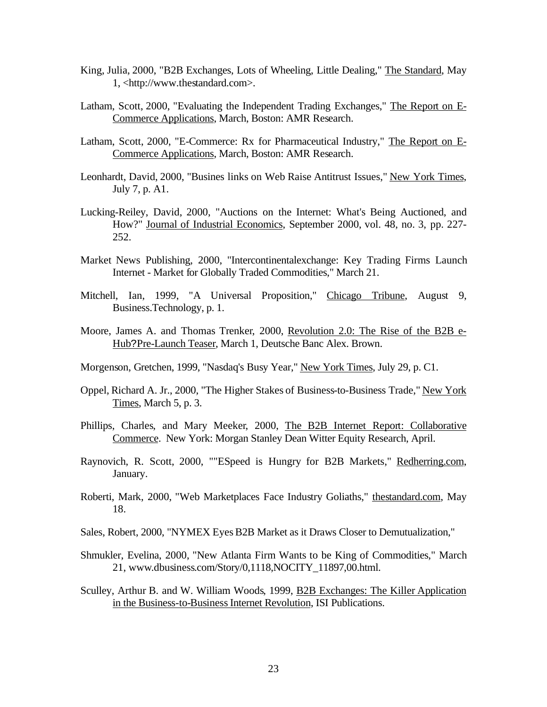- King, Julia, 2000, "B2B Exchanges, Lots of Wheeling, Little Dealing," The Standard, May 1, <http://www.thestandard.com>.
- Latham, Scott, 2000, "Evaluating the Independent Trading Exchanges," The Report on E-Commerce Applications, March, Boston: AMR Research.
- Latham, Scott, 2000, "E-Commerce: Rx for Pharmaceutical Industry," The Report on E-Commerce Applications, March, Boston: AMR Research.
- Leonhardt, David, 2000, "Busines links on Web Raise Antitrust Issues," New York Times, July 7, p. A1.
- Lucking-Reiley, David, 2000, "Auctions on the Internet: What's Being Auctioned, and How?" Journal of Industrial Economics, September 2000, vol. 48, no. 3, pp. 227-252.
- Market News Publishing, 2000, "Intercontinentalexchange: Key Trading Firms Launch Internet - Market for Globally Traded Commodities," March 21.
- Mitchell, Ian, 1999, "A Universal Proposition," Chicago Tribune, August 9, Business.Technology, p. 1.
- Moore, James A. and Thomas Trenker, 2000, Revolution 2.0: The Rise of the B2B e-Hub?Pre-Launch Teaser, March 1, Deutsche Banc Alex. Brown.
- Morgenson, Gretchen, 1999, "Nasdaq's Busy Year," New York Times, July 29, p. C1.
- Oppel, Richard A. Jr., 2000, "The Higher Stakes of Business-to-Business Trade," New York Times, March 5, p. 3.
- Phillips, Charles, and Mary Meeker, 2000, The B2B Internet Report: Collaborative Commerce. New York: Morgan Stanley Dean Witter Equity Research, April.
- Raynovich, R. Scott, 2000, ""ESpeed is Hungry for B2B Markets," Redherring.com, January.
- Roberti, Mark, 2000, "Web Marketplaces Face Industry Goliaths," thestandard.com, May 18.
- Sales, Robert, 2000, "NYMEX Eyes B2B Market as it Draws Closer to Demutualization,"
- Shmukler, Evelina, 2000, "New Atlanta Firm Wants to be King of Commodities," March 21, www.dbusiness.com/Story/0,1118,NOCITY\_11897,00.html.
- Sculley, Arthur B. and W. William Woods, 1999, B2B Exchanges: The Killer Application in the Business-to-Business Internet Revolution, ISI Publications.